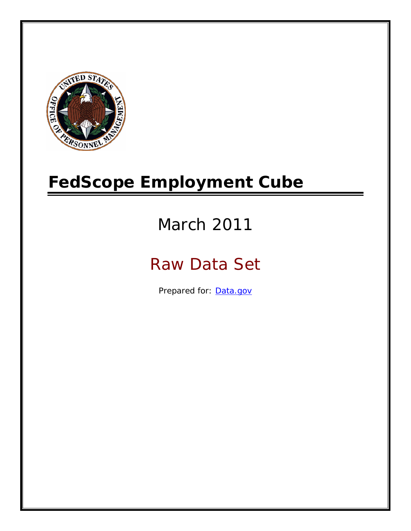

# **FedScope Employment Cube**

# March 2011

# Raw Data Set

Prepared for: [Data.gov](http://www.data.gov/)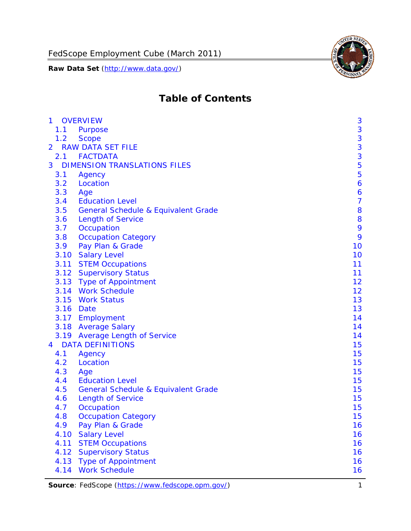

# **Table of Contents**

| $\mathbf{1}$   |      | <b>OVERVIEW</b>                                | 3              |
|----------------|------|------------------------------------------------|----------------|
|                | 1.1  | Purpose                                        | 3              |
|                | 1.2  | <b>Scope</b>                                   | 3              |
| $\overline{2}$ |      | <b>RAW DATA SET FILE</b>                       | 3              |
|                | 2.1  | <b>FACTDATA</b>                                | 3              |
| 3              |      | <b>DIMENSION TRANSLATIONS FILES</b>            | 5              |
|                | 3.1  | Agency                                         | 5              |
|                | 3.2  | Location                                       | 6              |
|                | 3.3  | Age                                            | 6              |
|                | 3.4  | <b>Education Level</b>                         | $\overline{7}$ |
|                | 3.5  | <b>General Schedule &amp; Equivalent Grade</b> | 8              |
|                | 3.6  | <b>Length of Service</b>                       | 8              |
|                | 3.7  | Occupation                                     | 9              |
|                | 3.8  | <b>Occupation Category</b>                     | 9              |
|                | 3.9  | Pay Plan & Grade                               | 10             |
|                | 3.10 | <b>Salary Level</b>                            | 10             |
|                | 3.11 | <b>STEM Occupations</b>                        | 11             |
|                |      | 3.12 Supervisory Status                        | 11             |
|                |      | 3.13 Type of Appointment                       | 12             |
|                |      | 3.14 Work Schedule                             | 12             |
|                | 3.15 | <b>Work Status</b>                             | 13             |
|                |      | 3.16 Date                                      | 13             |
|                |      | 3.17 Employment                                | 14             |
|                |      | 3.18 Average Salary                            | 14             |
|                | 3.19 | <b>Average Length of Service</b>               | 14             |
| $\overline{4}$ |      | <b>DATA DEFINITIONS</b>                        | 15             |
|                | 4.1  | Agency                                         | 15             |
|                | 4.2  | Location                                       | 15             |
|                | 4.3  | Age                                            | 15             |
|                | 4.4  | <b>Education Level</b>                         | 15             |
|                | 4.5  | <b>General Schedule &amp; Equivalent Grade</b> | 15             |
|                | 4.6  | <b>Length of Service</b>                       | 15             |
|                | 4.7  | Occupation                                     | 15             |
|                | 4.8  | <b>Occupation Category</b>                     | 15             |
|                | 4.9  | Pay Plan & Grade                               | 16             |
|                | 4.10 | <b>Salary Level</b>                            | 16             |
|                | 4.11 | <b>STEM Occupations</b>                        | 16             |
|                | 4.12 | <b>Supervisory Status</b>                      | 16             |
|                | 4.13 | <b>Type of Appointment</b>                     | 16             |
|                | 4.14 | <b>Work Schedule</b>                           | 16             |

Source: FedScope (https://www.fedscope.opm.gov/) 1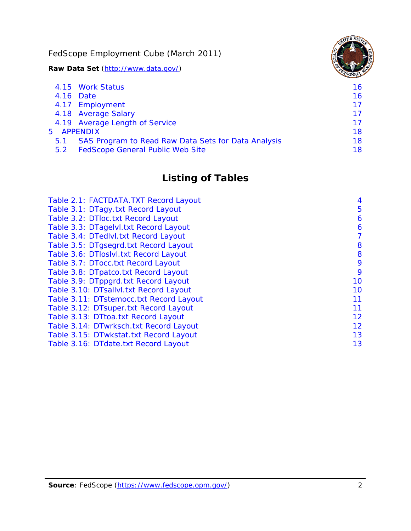FedScope Employment Cube (March 2011)

**Raw Data Set** (http://www.data.gov/)

|     | 4.15 Work Status                                    | 16 |
|-----|-----------------------------------------------------|----|
|     | 4.16 Date                                           | 16 |
|     | 4.17 Employment                                     | 17 |
|     | 4.18 Average Salary                                 | 17 |
|     | 4.19 Average Length of Service                      | 17 |
|     | 5 APPENDIX                                          | 18 |
| 5.1 | SAS Program to Read Raw Data Sets for Data Analysis | 18 |
| 5.2 | <b>FedScope General Public Web Site</b>             | 18 |

# **Listing of Tables**

| Table 2.1: FACTDATA.TXT Record Layout   | 4  |
|-----------------------------------------|----|
| Table 3.1: DTagy.txt Record Layout      | 5  |
| Table 3.2: DTloc.txt Record Layout      | 6  |
| Table 3.3: DTagelvl.txt Record Layout   | 6  |
| Table 3.4: DTedlvl.txt Record Layout    | 7  |
| Table 3.5: DTgsegrd.txt Record Layout   | 8  |
| Table 3.6: DTIoslyl.txt Record Layout   | 8  |
| Table 3.7: DTocc.txt Record Layout      | 9  |
| Table 3.8: DTpatco.txt Record Layout    | 9  |
| Table 3.9: DTppgrd.txt Record Layout    | 10 |
| Table 3.10: DTsallvl.txt Record Layout  | 10 |
| Table 3.11: DTstemocc.txt Record Layout | 11 |
| Table 3.12: DTsuper.txt Record Layout   | 11 |
| Table 3.13: DTtoa.txt Record Layout     | 12 |
| Table 3.14: DTwrksch.txt Record Layout  | 12 |
| Table 3.15: DTwkstat.txt Record Layout  | 13 |
| Table 3.16: DTdate.txt Record Layout    | 13 |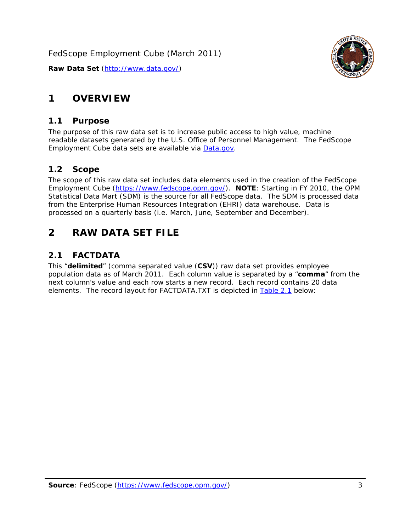

# <span id="page-3-0"></span>**1 OVERVIEW**

#### *1.1 Purpose*

<span id="page-3-1"></span>The purpose of this raw data set is to increase public access to high value, machine readable datasets generated by the U.S. Office of Personnel Management. The FedScope Employment Cube data sets are available via [Data.gov](http://www.data.gov/).

#### <span id="page-3-2"></span>*1.2 Scope*

The scope of this raw data set includes data elements used in the creation of the FedScope Employment Cube [\(https://www.fedscope.opm.gov/\)](https://www.fedscope.opm.gov/). **NOTE**: Starting in FY 2010, the OPM Statistical Data Mart (SDM) is the source for all FedScope data. The SDM is processed data from the Enterprise Human Resources Integration (EHRI) data warehouse. Data is processed on a quarterly basis (i.e. March, June, September and December).

# <span id="page-3-3"></span>**2 RAW DATA SET FILE**

# <span id="page-3-4"></span>*2.1 FACTDATA*

This "**delimited**" (comma separated value (**CSV**)) raw data set provides employee population data as of March 2011. Each column value is separated by a "**comma**" from the next column's value and each row starts a new record. Each record contains 20 data elements. The record layout for FACTDATA.TXT is depicted in [Table 2.1](#page-4-1) below: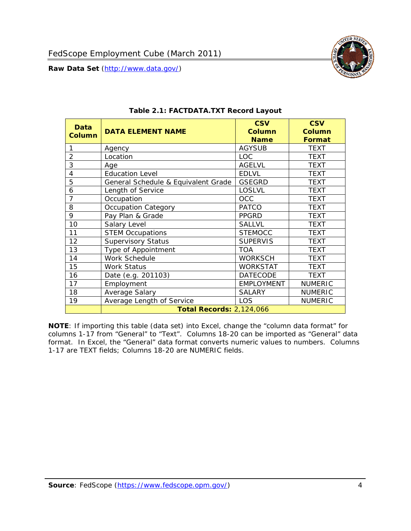

<span id="page-4-1"></span><span id="page-4-0"></span>

| <b>Data</b><br><b>Column</b> | <b>DATA ELEMENT NAME</b>            | <b>CSV</b><br><b>Column</b>  | <b>CSV</b><br><b>Column</b>  |
|------------------------------|-------------------------------------|------------------------------|------------------------------|
| 1                            | Agency                              | <b>Name</b><br><b>AGYSUB</b> | <b>Format</b><br><b>TEXT</b> |
| $\overline{2}$               | Location                            | LOC.                         | <b>TEXT</b>                  |
| 3                            | Age                                 | <b>AGELVL</b>                | <b>TEXT</b>                  |
| $\overline{4}$               | <b>Education Level</b>              | <b>EDLVL</b>                 | <b>TEXT</b>                  |
| 5                            | General Schedule & Equivalent Grade | <b>GSEGRD</b>                | <b>TEXT</b>                  |
| 6                            | Length of Service                   | LOSLVL                       | <b>TEXT</b>                  |
| $\overline{7}$               | Occupation                          | OCC                          | <b>TEXT</b>                  |
| 8                            | <b>Occupation Category</b>          | <b>PATCO</b>                 | <b>TEXT</b>                  |
| 9                            | Pay Plan & Grade                    | <b>PPGRD</b>                 | <b>TEXT</b>                  |
| 10                           | Salary Level                        | <b>SALLVL</b>                | TEXT                         |
| 11                           | <b>STEM Occupations</b>             | <b>STEMOCC</b>               | <b>TEXT</b>                  |
| 12                           | <b>Supervisory Status</b>           | <b>SUPERVIS</b>              | <b>TEXT</b>                  |
| 13                           | Type of Appointment                 | <b>TOA</b>                   | <b>TEXT</b>                  |
| 14                           | Work Schedule                       | <b>WORKSCH</b>               | <b>TEXT</b>                  |
| 15                           | <b>Work Status</b>                  | <b>WORKSTAT</b>              | TEXT                         |
| 16                           | Date (e.g. 201103)                  | <b>DATECODE</b>              | <b>TEXT</b>                  |
| 17                           | Employment                          | <b>EMPLOYMENT</b>            | <b>NUMERIC</b>               |
| 18                           | Average Salary                      | <b>SALARY</b>                | <b>NUMERIC</b>               |
| 19                           | Average Length of Service           | <b>LOS</b>                   | <b>NUMERIC</b>               |
|                              | <b>Total Records: 2,124,066</b>     |                              |                              |

#### **Table 2.1: FACTDATA.TXT Record Layout**

**NOTE**: If importing this table (data set) into Excel, change the "column data format" for columns 1-17 from "General" to "Text". Columns 18-20 can be imported as "General" data format. In Excel, the "General" data format converts numeric values to numbers. Columns 1-17 are TEXT fields; Columns 18-20 are NUMERIC fields.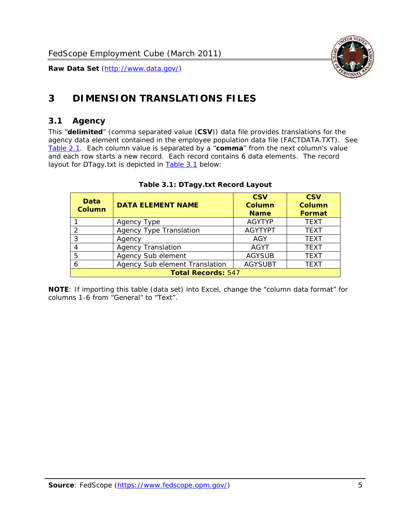

# <span id="page-5-0"></span>**3 DIMENSION TRANSLATIONS FILES**

### <span id="page-5-1"></span>*3.1 Agency*

<span id="page-5-3"></span><span id="page-5-2"></span>This "**delimited**" (comma separated value (**CSV**)) data file provides translations for the agency data element contained in the employee population data file (FACTDATA.TXT). See [Table 2.1.](#page-4-1) Each column value is separated by a "**comma**" from the next column's value and each row starts a new record. Each record contains 6 data elements. The record layout for DTagy.txt is depicted in **Table 3.1** below:

| Data<br><b>Column</b>     | <b>DATA ELEMENT NAME</b>       | <b>CSV</b><br><b>Column</b><br><b>Name</b> | <b>CSV</b><br>Column<br><b>Format</b> |
|---------------------------|--------------------------------|--------------------------------------------|---------------------------------------|
|                           | Agency Type                    | <b>AGYTYP</b>                              | <b>TEXT</b>                           |
| 2                         | <b>Agency Type Translation</b> | <b>AGYTYPT</b>                             | <b>TEXT</b>                           |
| 3                         | Agency                         | AGY                                        | <b>TEXT</b>                           |
|                           | <b>Agency Translation</b>      | <b>AGYT</b>                                | <b>TEXT</b>                           |
| -5                        | Agency Sub element             | <b>AGYSUB</b>                              | <b>TEXT</b>                           |
|                           | Agency Sub element Translation | <b>AGYSUBT</b>                             | <b>TEXT</b>                           |
| <b>Total Records: 547</b> |                                |                                            |                                       |

#### **Table 3.1: DTagy.txt Record Layout**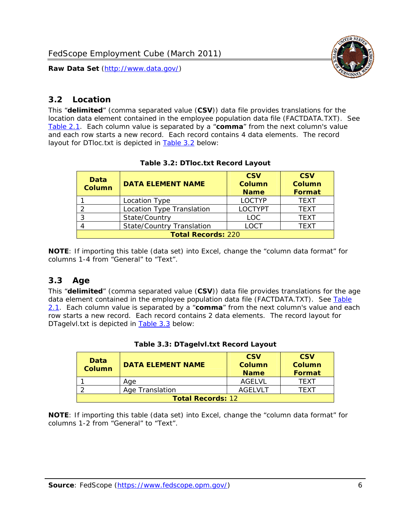

## <span id="page-6-0"></span>*3.2 Location*

<span id="page-6-4"></span><span id="page-6-2"></span>This "**delimited**" (comma separated value (**CSV**)) data file provides translations for the location data element contained in the employee population data file (FACTDATA.TXT). See [Table 2.1.](#page-4-1) Each column value is separated by a "**comma**" from the next column's value and each row starts a new record. Each record contains 4 data elements. The record layout for DTloc.txt is depicted in [Table 3.2](#page-6-4) below:

| Data<br><b>Column</b>     | <b>DATA ELEMENT NAME</b>         | <b>CSV</b><br>Column<br><b>Name</b> | <b>CSV</b><br><b>Column</b><br><b>Format</b> |
|---------------------------|----------------------------------|-------------------------------------|----------------------------------------------|
|                           | Location Type                    | <b>LOCTYP</b>                       | <b>TEXT</b>                                  |
|                           | Location Type Translation        | <b>LOCTYPT</b>                      | <b>TEXT</b>                                  |
| ົ                         | State/Country                    | <b>LOC</b>                          | <b>TFXT</b>                                  |
|                           | <b>State/Country Translation</b> | LOCT                                | <b>TFXT</b>                                  |
| <b>Total Records: 220</b> |                                  |                                     |                                              |

#### **Table 3.2: DTloc.txt Record Layout**

**NOTE**: If importing this table (data set) into Excel, change the "column data format" for columns 1-4 from "General" to "Text".

#### <span id="page-6-1"></span>*3.3 Age*

<span id="page-6-5"></span><span id="page-6-3"></span>This "**delimited**" (comma separated value (**CSV**)) data file provides translations for the age data element contained in the employee population data file (FACTDATA.TXT). See [Table](#page-4-1) [2.1](#page-4-1). Each column value is separated by a "**comma**" from the next column's value and each row starts a new record. Each record contains 2 data elements. The record layout for DTagelvl.txt is depicted in **[Table 3.3](#page-6-5)** below:

| Data<br>Column           | <b>DATA ELEMENT NAME</b> | <b>CSV</b><br>Column<br><b>Name</b> | <b>CSV</b><br>Column<br>Format |
|--------------------------|--------------------------|-------------------------------------|--------------------------------|
|                          | Aae                      | AGFI VI                             | TFXT                           |
|                          | Age Translation          | AGFI VI T                           | TFXT                           |
| <b>Total Records: 12</b> |                          |                                     |                                |

#### **Table 3.3: DTagelvl.txt Record Layout**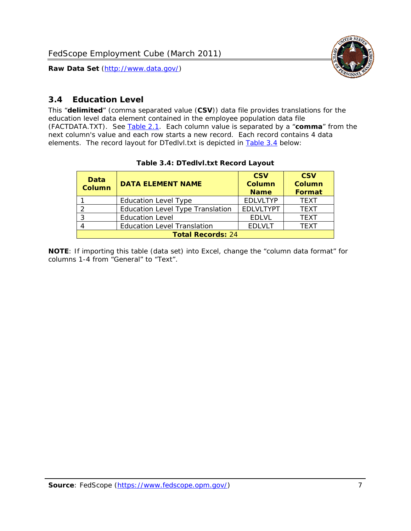

## <span id="page-7-0"></span>*3.4 Education Level*

<span id="page-7-2"></span><span id="page-7-1"></span>This "**delimited**" (comma separated value (**CSV**)) data file provides translations for the education level data element contained in the employee population data file (FACTDATA.TXT). See [Table 2.1](#page-4-1). Each column value is separated by a "**comma**" from the next column's value and each row starts a new record. Each record contains 4 data elements. The record layout for DTedlvl.txt is depicted in [Table 3.4](#page-7-2) below:

| Data<br><b>Column</b>    | <b>DATA ELEMENT NAME</b>           | <b>CSV</b><br><b>Column</b><br><b>Name</b> | <b>CSV</b><br><b>Column</b><br><b>Format</b> |
|--------------------------|------------------------------------|--------------------------------------------|----------------------------------------------|
|                          | <b>Education Level Type</b>        | <b>EDLVLTYP</b>                            | <b>TEXT</b>                                  |
|                          | Education Level Type Translation   | <b>EDLVLTYPT</b>                           | <b>TEXT</b>                                  |
|                          | <b>Education Level</b>             | <b>EDLVL</b>                               | <b>TEXT</b>                                  |
|                          | <b>Education Level Translation</b> | <b>EDLVLT</b>                              | <b>TEXT</b>                                  |
| <b>Total Records: 24</b> |                                    |                                            |                                              |

#### **Table 3.4: DTedlvl.txt Record Layout**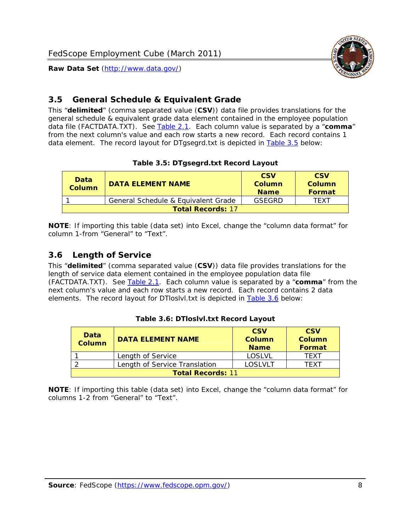

### <span id="page-8-0"></span>*3.5 General Schedule & Equivalent Grade*

This "**delimited**" (comma separated value (**CSV**)) data file provides translations for the general schedule & equivalent grade data element contained in the employee population data file (FACTDATA.TXT). See [Table 2.1](#page-4-1). Each column value is separated by a "**comma**" from the next column's value and each row starts a new record. Each record contains 1 data element. The record layout for DTgsegrd.txt is depicted in [Table 3.5](#page-8-4) below:

#### **Table 3.5: DTgsegrd.txt Record Layout**

<span id="page-8-4"></span><span id="page-8-2"></span>

| Data<br>Column           | DATA FI FMFNT NAMF                  | <b>CSV</b><br>Column<br><b>Name</b> | <b>CSV</b><br>Column<br><b>Format</b> |
|--------------------------|-------------------------------------|-------------------------------------|---------------------------------------|
|                          | General Schedule & Equivalent Grade | GSFGRD                              | TFXT                                  |
| <b>Total Records: 17</b> |                                     |                                     |                                       |

**NOTE**: If importing this table (data set) into Excel, change the "column data format" for column 1-from "General" to "Text".

#### <span id="page-8-1"></span>*3.6 Length of Service*

<span id="page-8-5"></span>This "**delimited**" (comma separated value (**CSV**)) data file provides translations for the length of service data element contained in the employee population data file (FACTDATA.TXT). See [Table 2.1](#page-4-1). Each column value is separated by a "**comma**" from the next column's value and each row starts a new record. Each record contains 2 data elements. The record layout for DTloslvl.txt is depicted in [Table 3.6](#page-8-5) below:

<span id="page-8-3"></span>

| Data<br><b>Column</b>    | <b>DATA ELEMENT NAME</b>      | <b>CSV</b><br><b>Column</b><br><b>Name</b> | <b>CSV</b><br>Column<br>Format |  |
|--------------------------|-------------------------------|--------------------------------------------|--------------------------------|--|
|                          | Length of Service             | LOSLVL                                     | TFXT                           |  |
|                          | Length of Service Translation | LOSI VLT                                   | TFXT                           |  |
| <b>Total Records: 11</b> |                               |                                            |                                |  |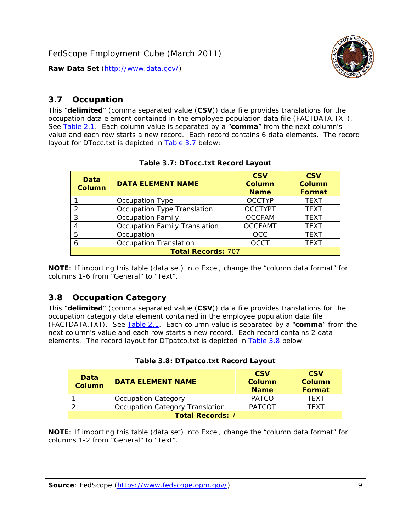

### <span id="page-9-0"></span>*3.7 Occupation*

<span id="page-9-4"></span>This "**delimited**" (comma separated value (**CSV**)) data file provides translations for the occupation data element contained in the employee population data file (FACTDATA.TXT). See [Table 2.1](#page-4-1). Each column value is separated by a "**comma**" from the next column's value and each row starts a new record. Each record contains 6 data elements. The record layout for DTocc.txt is depicted in [Table 3.7](#page-9-4) below:

<span id="page-9-2"></span>

| Data<br><b>Column</b>     | <b>DATA ELEMENT NAME</b>      | <b>CSV</b><br>Column<br><b>Name</b> | <b>CSV</b><br><b>Column</b><br><b>Format</b> |
|---------------------------|-------------------------------|-------------------------------------|----------------------------------------------|
|                           | Occupation Type               | <b>OCCTYP</b>                       | <b>TEXT</b>                                  |
|                           | Occupation Type Translation   | <b>OCCTYPT</b>                      | <b>TEXT</b>                                  |
| 3                         | <b>Occupation Family</b>      | <b>OCCFAM</b>                       | <b>TEXT</b>                                  |
|                           | Occupation Family Translation | <b>OCCFAMT</b>                      | <b>TEXT</b>                                  |
| 5                         | Occupation                    | <b>OCC</b>                          | <b>TEXT</b>                                  |
|                           | <b>Occupation Translation</b> | <b>OCCT</b>                         | <b>TEXT</b>                                  |
| <b>Total Records: 707</b> |                               |                                     |                                              |

#### **Table 3.7: DTocc.txt Record Layout**

**NOTE**: If importing this table (data set) into Excel, change the "column data format" for columns 1-6 from "General" to "Text".

#### <span id="page-9-1"></span>*3.8 Occupation Category*

<span id="page-9-5"></span>This "**delimited**" (comma separated value (**CSV**)) data file provides translations for the occupation category data element contained in the employee population data file (FACTDATA.TXT). See [Table 2.1](#page-4-1). Each column value is separated by a "**comma**" from the next column's value and each row starts a new record. Each record contains 2 data elements. The record layout for DTpatco.txt is depicted in [Table 3.8](#page-9-5) below:

<span id="page-9-3"></span>

| Data<br><b>Column</b>   | <b>DATA ELEMENT NAME</b>        | <b>CSV</b><br>Column<br><b>Name</b> | <b>CSV</b><br>Column<br>Format |  |
|-------------------------|---------------------------------|-------------------------------------|--------------------------------|--|
|                         | <b>Occupation Category</b>      | <b>PATCO</b>                        | <b>TFXT</b>                    |  |
|                         | Occupation Category Translation | <b>PATCOT</b>                       | TFXT                           |  |
| <b>Total Records: 7</b> |                                 |                                     |                                |  |

|  |  | Table 3.8: DTpatco.txt Record Layout |  |  |
|--|--|--------------------------------------|--|--|
|--|--|--------------------------------------|--|--|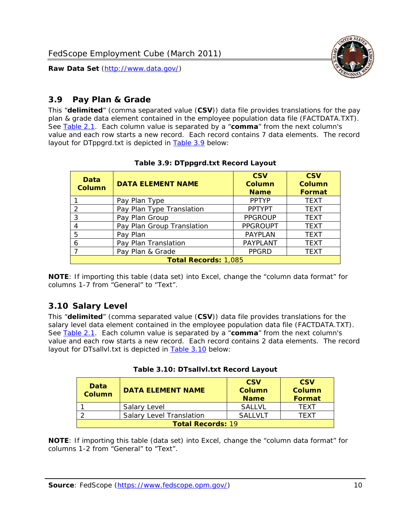

# <span id="page-10-0"></span>*3.9 Pay Plan & Grade*

<span id="page-10-4"></span>This "**delimited**" (comma separated value (**CSV**)) data file provides translations for the pay plan & grade data element contained in the employee population data file (FACTDATA.TXT). See [Table 2.1](#page-4-1). Each column value is separated by a "**comma**" from the next column's value and each row starts a new record. Each record contains 7 data elements. The record layout for DTppgrd.txt is depicted in **Table 3.9** below:

<span id="page-10-2"></span>

| Data<br><b>Column</b> | <b>DATA ELEMENT NAME</b>    | <b>CSV</b><br>Column<br><b>Name</b> | <b>CSV</b><br>Column<br><b>Format</b> |
|-----------------------|-----------------------------|-------------------------------------|---------------------------------------|
|                       | Pay Plan Type               | <b>PPTYP</b>                        | <b>TEXT</b>                           |
| $\mathcal{P}$         | Pay Plan Type Translation   | <b>PPTYPT</b>                       | <b>TEXT</b>                           |
| 3                     | Pay Plan Group              | <b>PPGROUP</b>                      | <b>TEXT</b>                           |
|                       | Pay Plan Group Translation  | <b>PPGROUPT</b>                     | <b>TEXT</b>                           |
| 5                     | Pay Plan                    | <b>PAYPLAN</b>                      | <b>TEXT</b>                           |
| 6                     | Pay Plan Translation        | <b>PAYPLANT</b>                     | <b>TEXT</b>                           |
|                       | Pay Plan & Grade            | <b>PPGRD</b>                        | <b>TEXT</b>                           |
|                       | <b>Total Records: 1,085</b> |                                     |                                       |

#### **Table 3.9: DTppgrd.txt Record Layout**

**NOTE**: If importing this table (data set) into Excel, change the "column data format" for columns 1-7 from "General" to "Text".

# <span id="page-10-1"></span>*3.10 Salary Level*

<span id="page-10-5"></span><span id="page-10-3"></span>This "**delimited**" (comma separated value (**CSV**)) data file provides translations for the salary level data element contained in the employee population data file (FACTDATA.TXT). See [Table 2.1](#page-4-1). Each column value is separated by a "**comma**" from the next column's value and each row starts a new record. Each record contains 2 data elements. The record layout for DTsallvl.txt is depicted in [Table 3.10](#page-10-5) below:

| <b>Data</b><br>Column    | <b>DATA ELEMENT NAME</b>        | <b>CSV</b><br>Column<br><b>Name</b> | <b>CSV</b><br>Column<br><b>Format</b> |  |
|--------------------------|---------------------------------|-------------------------------------|---------------------------------------|--|
|                          | Salary Level                    | <b>SALLVL</b>                       | TFXT                                  |  |
|                          | <b>Salary Level Translation</b> | SAI I VI T                          | TEXT                                  |  |
| <b>Total Records: 19</b> |                                 |                                     |                                       |  |

| Table 3.10: DTsallvl.txt Record Layout |
|----------------------------------------|
|----------------------------------------|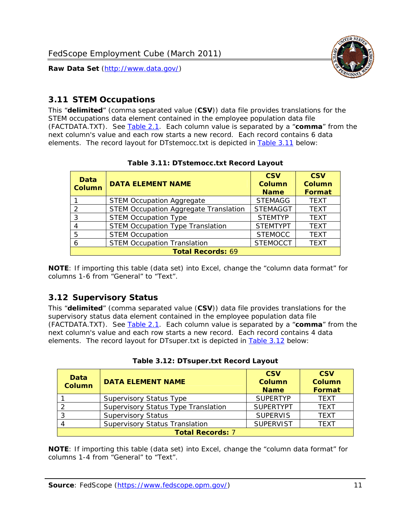

### <span id="page-11-0"></span>*3.11 STEM Occupations*

<span id="page-11-4"></span>This "**delimited**" (comma separated value (**CSV**)) data file provides translations for the STEM occupations data element contained in the employee population data file (FACTDATA.TXT). See [Table 2.1](#page-4-1). Each column value is separated by a "**comma**" from the next column's value and each row starts a new record. Each record contains 6 data elements. The record layout for DTstemocc.txt is depicted in [Table 3.11](#page-11-4) below:

<span id="page-11-2"></span>

| <b>Data</b><br><b>Column</b> | <b>DATA ELEMENT NAME</b>                     | <b>CSV</b><br><b>Column</b><br><b>Name</b> | <b>CSV</b><br><b>Column</b><br>Format |
|------------------------------|----------------------------------------------|--------------------------------------------|---------------------------------------|
|                              | <b>STEM Occupation Aggregate</b>             | <b>STEMAGG</b>                             | <b>TEXT</b>                           |
|                              | <b>STEM Occupation Aggregate Translation</b> | <b>STEMAGGT</b>                            | <b>TEXT</b>                           |
| 3                            | <b>STEM Occupation Type</b>                  | <b>STEMTYP</b>                             | <b>TFXT</b>                           |
|                              | <b>STEM Occupation Type Translation</b>      | <b>STEMTYPT</b>                            | <b>TEXT</b>                           |
| 5                            | <b>STEM Occupation</b>                       | <b>STEMOCC</b>                             | <b>TEXT</b>                           |
|                              | <b>STEM Occupation Translation</b>           | <b>STEMOCCT</b>                            | <b>TEXT</b>                           |
|                              | <b>Total Records: 69</b>                     |                                            |                                       |

#### **Table 3.11: DTstemocc.txt Record Layout**

**NOTE**: If importing this table (data set) into Excel, change the "column data format" for columns 1-6 from "General" to "Text".

# <span id="page-11-1"></span>*3.12 Supervisory Status*

This "**delimited**" (comma separated value (**CSV**)) data file provides translations for the supervisory status data element contained in the employee population data file (FACTDATA.TXT). See [Table 2.1](#page-4-1). Each column value is separated by a "**comma**" from the next column's value and each row starts a new record. Each record contains 4 data elements. The record layout for DTsuper.txt is depicted in [Table 3.12](#page-11-5) below:

<span id="page-11-5"></span><span id="page-11-3"></span>

| Data<br><b>Column</b>   | <b>DATA ELEMENT NAME</b>              | <b>CSV</b><br><b>Column</b><br><b>Name</b> | <b>CSV</b><br><b>Column</b><br><b>Format</b> |  |  |
|-------------------------|---------------------------------------|--------------------------------------------|----------------------------------------------|--|--|
|                         | <b>Supervisory Status Type</b>        | <b>SUPFRTYP</b>                            | <b>TEXT</b>                                  |  |  |
|                         | Supervisory Status Type Translation   | <b>SUPERTYPT</b>                           | <b>TEXT</b>                                  |  |  |
|                         | <b>Supervisory Status</b>             | <b>SUPERVIS</b>                            | <b>TEXT</b>                                  |  |  |
|                         | <b>Supervisory Status Translation</b> | <b>SUPERVIST</b>                           | <b>TEXT</b>                                  |  |  |
| <b>Total Records: 7</b> |                                       |                                            |                                              |  |  |

|  | Table 3.12: DTsuper.txt Record Layout |  |
|--|---------------------------------------|--|
|--|---------------------------------------|--|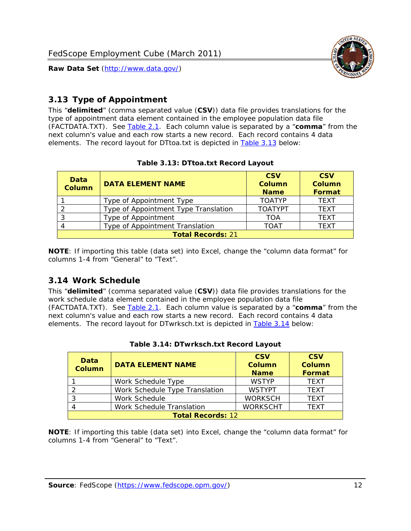

# <span id="page-12-0"></span>*3.13 Type of Appointment*

This "**delimited**" (comma separated value (**CSV**)) data file provides translations for the type of appointment data element contained in the employee population data file (FACTDATA.TXT). See [Table 2.1](#page-4-1). Each column value is separated by a "**comma**" from the next column's value and each row starts a new record. Each record contains 4 data elements. The record layout for DTtoa.txt is depicted in [Table 3.13](#page-12-4) below:

<span id="page-12-4"></span><span id="page-12-2"></span>

| Data<br><b>Column</b> | <b>DATA ELEMENT NAME</b>             | <b>CSV</b><br><b>Column</b><br><b>Name</b> | <b>CSV</b><br><b>Column</b><br>Format |  |  |  |
|-----------------------|--------------------------------------|--------------------------------------------|---------------------------------------|--|--|--|
|                       | Type of Appointment Type             | <b>TOATYP</b>                              | <b>TEXT</b>                           |  |  |  |
|                       | Type of Appointment Type Translation | <b>TOATYPT</b>                             | <b>TEXT</b>                           |  |  |  |
|                       | Type of Appointment                  | TOA                                        | <b>TEXT</b>                           |  |  |  |
|                       | Type of Appointment Translation      | <b>TOAT</b>                                | <b>TEXT</b>                           |  |  |  |
|                       | <b>Total Records: 21</b>             |                                            |                                       |  |  |  |

#### **Table 3.13: DTtoa.txt Record Layout**

**NOTE**: If importing this table (data set) into Excel, change the "column data format" for columns 1-4 from "General" to "Text".

#### <span id="page-12-1"></span>*3.14 Work Schedule*

<span id="page-12-5"></span>This "**delimited**" (comma separated value (**CSV**)) data file provides translations for the work schedule data element contained in the employee population data file (FACTDATA.TXT). See [Table 2.1](#page-4-1). Each column value is separated by a "**comma**" from the next column's value and each row starts a new record. Each record contains 4 data elements. The record layout for DTwrksch.txt is depicted in [Table 3.14](#page-12-5) below:

<span id="page-12-3"></span>

| Data<br>Column           | <b>DATA ELEMENT NAME</b>       | <b>CSV</b><br><b>Column</b><br><b>Name</b> | <b>CSV</b><br>Column<br>Format |  |  |
|--------------------------|--------------------------------|--------------------------------------------|--------------------------------|--|--|
|                          | Work Schedule Type             | <b>WSTYP</b>                               | <b>TEXT</b>                    |  |  |
| 2                        | Work Schedule Type Translation | <b>WSTYPT</b>                              | <b>TFXT</b>                    |  |  |
| 3                        | Work Schedule                  | <b>WORKSCH</b>                             | <b>TFXT</b>                    |  |  |
|                          | Work Schedule Translation      | <b>WORKSCHT</b>                            | <b>TFXT</b>                    |  |  |
| <b>Total Records: 12</b> |                                |                                            |                                |  |  |

|  | Table 3.14: DTwrksch.txt Record Layout |  |
|--|----------------------------------------|--|
|  |                                        |  |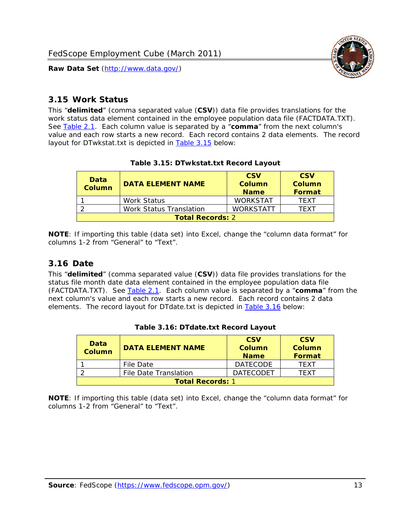

#### <span id="page-13-0"></span>*3.15 Work Status*

<span id="page-13-4"></span><span id="page-13-2"></span>This "**delimited**" (comma separated value (**CSV**)) data file provides translations for the work status data element contained in the employee population data file (FACTDATA.TXT). See [Table 2.1](#page-4-1). Each column value is separated by a "**comma**" from the next column's value and each row starts a new record. Each record contains 2 data elements. The record layout for DTwkstat.txt is depicted in [Table 3.15](#page-13-4) below:

| Data<br><b>Column</b>   | <b>DATA ELEMENT NAME</b> | <b>CSV</b><br>Column<br><b>Name</b> | <b>CSV</b><br>Column<br><b>Format</b> |  |
|-------------------------|--------------------------|-------------------------------------|---------------------------------------|--|
|                         | <b>Work Status</b>       | <b>WORKSTAT</b>                     | TFXT                                  |  |
|                         | Work Status Translation  | <b>WORKSTATT</b>                    | TFXT                                  |  |
| <b>Total Records: 2</b> |                          |                                     |                                       |  |

#### **Table 3.15: DTwkstat.txt Record Layout**

**NOTE**: If importing this table (data set) into Excel, change the "column data format" for columns 1-2 from "General" to "Text".

#### <span id="page-13-1"></span>*3.16 Date*

<span id="page-13-5"></span><span id="page-13-3"></span>This "**delimited**" (comma separated value (**CSV**)) data file provides translations for the status file month date data element contained in the employee population data file (FACTDATA.TXT). See [Table 2.1](#page-4-1). Each column value is separated by a "**comma**" from the next column's value and each row starts a new record. Each record contains 2 data elements. The record layout for DTdate.txt is depicted in [Table 3.16](#page-13-5) below:

| Data<br><b>Column</b>   | <b>DATA ELEMENT NAME</b> | <b>CSV</b><br>Column<br><b>Name</b> | <b>CSV</b><br>Column<br><b>Format</b> |
|-------------------------|--------------------------|-------------------------------------|---------------------------------------|
|                         | File Date                | <b>DATECODE</b>                     | TFXT                                  |
|                         | File Date Translation    | <b>DATECODET</b>                    | TFXT                                  |
| <b>Total Records: 1</b> |                          |                                     |                                       |

**Table 3.16: DTdate.txt Record Layout**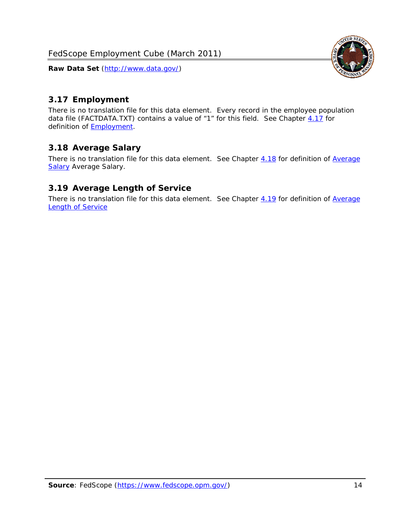<span id="page-14-0"></span>

There is no translation file for this data element. Every record in the employee population data file (FACTDATA.TXT) contains a value of "1" for this field. See Chapter [4.17](#page-16-8) for definition of **Employment**.

#### <span id="page-14-1"></span>*3.18 Average Salary*

There is no translation file for this data element. See Chapter [4.18](#page-17-1) for definition of [Average](#page-17-1) **[Salary](#page-17-1) [Average Salary.](#page-17-1)** 

#### <span id="page-14-2"></span>*3.19 Average Length of Service*

There is no translation file for this data element. See Chapter [4.19](#page-17-2) for definition of [Average](#page-17-2) Length of Service

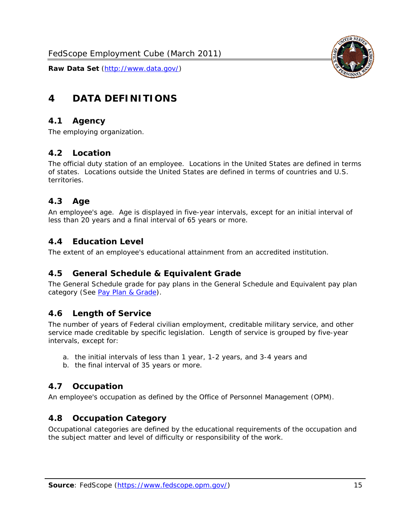

# <span id="page-15-0"></span>**4 DATA DEFINITIONS**

#### <span id="page-15-1"></span>*4.1 Agency*

The employing organization.

#### <span id="page-15-2"></span>*4.2 Location*

The official duty station of an employee. Locations in the United States are defined in terms of states. Locations outside the United States are defined in terms of countries and U.S. territories.

#### <span id="page-15-3"></span>*4.3 Age*

An employee's age. Age is displayed in five-year intervals, except for an initial interval of less than 20 years and a final interval of 65 years or more.

#### <span id="page-15-4"></span>*4.4 Education Level*

The extent of an employee's educational attainment from an accredited institution.

#### <span id="page-15-5"></span>*4.5 General Schedule & Equivalent Grade*

The General Schedule grade for pay plans in the General Schedule and Equivalent pay plan category (See [Pay Plan & Grade](#page-16-0)).

#### <span id="page-15-6"></span>*4.6 Length of Service*

The number of years of Federal civilian employment, creditable military service, and other service made creditable by specific legislation. Length of service is grouped by five-year intervals, except for:

- a. the initial intervals of less than 1 year, 1-2 years, and 3-4 years and
- b. the final interval of 35 years or more.

#### <span id="page-15-7"></span>*4.7 Occupation*

An employee's occupation as defined by the Office of Personnel Management (OPM).

#### <span id="page-15-8"></span>*4.8 Occupation Category*

Occupational categories are defined by the educational requirements of the occupation and the subject matter and level of difficulty or responsibility of the work.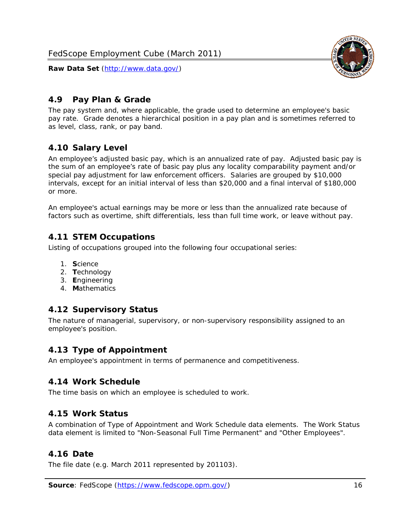

# <span id="page-16-0"></span>*4.9 Pay Plan & Grade*

The pay system and, where applicable, the grade used to determine an employee's basic pay rate. Grade denotes a hierarchical position in a pay plan and is sometimes referred to as level, class, rank, or pay band.

# <span id="page-16-1"></span>*4.10 Salary Level*

An employee's adjusted basic pay, which is an annualized rate of pay. Adjusted basic pay is the sum of an employee's rate of basic pay plus any locality comparability payment and/or special pay adjustment for law enforcement officers. Salaries are grouped by \$10,000 intervals, except for an initial interval of less than \$20,000 and a final interval of \$180,000 or more.

An employee's actual earnings may be more or less than the annualized rate because of factors such as overtime, shift differentials, less than full time work, or leave without pay.

## <span id="page-16-2"></span>*4.11 STEM Occupations*

Listing of occupations grouped into the following four occupational series:

- 1. **S**cience
- 2. **T**echnology
- 3. **E**ngineering
- 4. **M**athematics

#### <span id="page-16-3"></span>*4.12 Supervisory Status*

The nature of managerial, supervisory, or non-supervisory responsibility assigned to an employee's position.

#### <span id="page-16-4"></span>*4.13 Type of Appointment*

An employee's appointment in terms of permanence and competitiveness.

#### <span id="page-16-5"></span>*4.14 Work Schedule*

The time basis on which an employee is scheduled to work.

#### <span id="page-16-6"></span>*4.15 Work Status*

A combination of Type of Appointment and Work Schedule data elements. The Work Status data element is limited to "Non-Seasonal Full Time Permanent" and "Other Employees".

#### <span id="page-16-7"></span>*4.16 Date*

<span id="page-16-8"></span>The file date (e.g. March 2011 represented by 201103).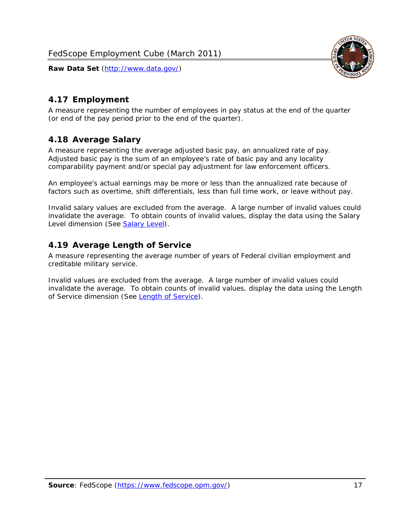

# <span id="page-17-0"></span>*4.17 Employment*

A measure representing the number of employees in pay status at the end of the quarter (or end of the pay period prior to the end of the quarter).

## <span id="page-17-1"></span>*4.18 Average Salary*

A measure representing the average adjusted basic pay, an annualized rate of pay. Adjusted basic pay is the sum of an employee's rate of basic pay and any locality comparability payment and/or special pay adjustment for law enforcement officers.

An employee's actual earnings may be more or less than the annualized rate because of factors such as overtime, shift differentials, less than full time work, or leave without pay.

Invalid salary values are excluded from the average. A large number of invalid values could invalidate the average. To obtain counts of invalid values, display the data using the Salary Level dimension (See [Salary Level\)](#page-16-1).

## <span id="page-17-2"></span>*4.19 Average Length of Service*

A measure representing the average number of years of Federal civilian employment and creditable military service.

Invalid values are excluded from the average. A large number of invalid values could invalidate the average. To obtain counts of invalid values, display the data using the Length of Service dimension (See [Length of Service](#page-15-6)).